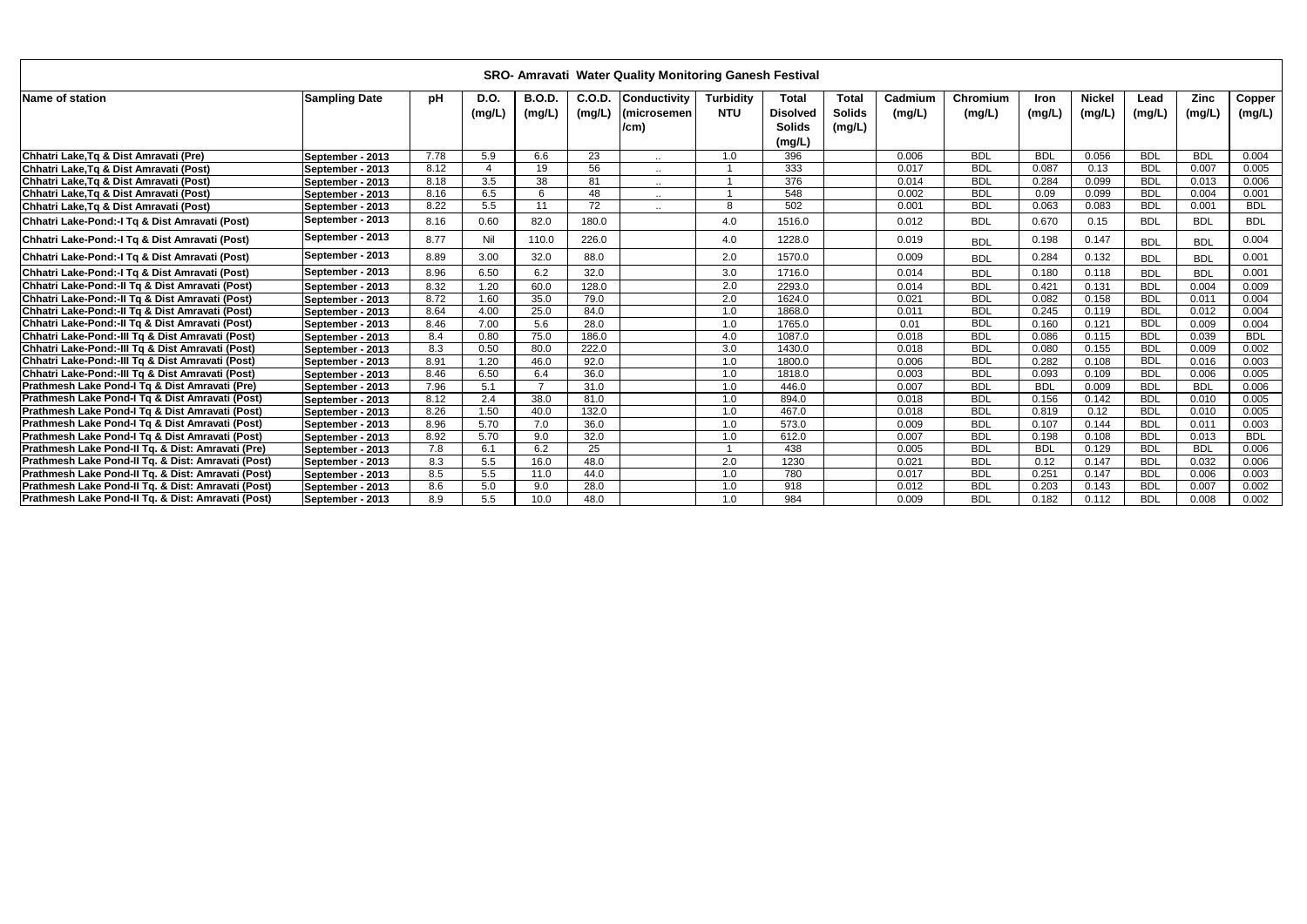|                                                    | <b>SRO- Amravati Water Quality Monitoring Ganesh Festival</b><br><b>B.O.D.</b><br>C.O.D.<br><b>Conductivity</b><br><b>Nickel</b><br><b>D.O.</b><br><b>Turbidity</b><br><b>Total</b><br><b>Total</b><br>Cadmium<br><b>Zinc</b><br>Copper<br><b>Sampling Date</b><br>рH<br>Chromium<br>Iron<br>Lead |      |                  |                 |                 |                     |                  |                                            |                         |        |            |            |        |            |            |            |
|----------------------------------------------------|---------------------------------------------------------------------------------------------------------------------------------------------------------------------------------------------------------------------------------------------------------------------------------------------------|------|------------------|-----------------|-----------------|---------------------|------------------|--------------------------------------------|-------------------------|--------|------------|------------|--------|------------|------------|------------|
| Name of station                                    |                                                                                                                                                                                                                                                                                                   |      | (mg/L)           | (mg/L)          | (mg/L)          | (microsemen<br>/cm) | <b>NTU</b>       | <b>Disolved</b><br><b>Solids</b><br>(mg/L) | <b>Solids</b><br>(mg/L) | (mg/L) | (mg/L)     | (mg/L)     | (mg/L) | (mg/L)     | (mg/L)     | (mg/L)     |
| Chhatri Lake, Tq & Dist Amravati (Pre)             | September - 2013                                                                                                                                                                                                                                                                                  | 7.78 | 5.9              | 6.6             | 23              |                     | 1.0              | 396                                        |                         | 0.006  | <b>BDL</b> | <b>BDL</b> | 0.056  | <b>BDL</b> | <b>BDL</b> | 0.004      |
| Chhatri Lake, Tq & Dist Amravati (Post)            | September - 2013                                                                                                                                                                                                                                                                                  | 8.12 |                  | 19              | 56              | $\sim$              |                  | 333                                        |                         | 0.017  | <b>BDL</b> | 0.087      | 0.13   | <b>BDL</b> | 0.007      | 0.005      |
| Chhatri Lake, Tq & Dist Amravati (Post)            | September - 2013                                                                                                                                                                                                                                                                                  | 8.18 | $\overline{3.5}$ | $\overline{38}$ | 81              | $\sim$ $\sim$       |                  | 376                                        |                         | 0.014  | <b>BDL</b> | 0.284      | 0.099  | <b>BDL</b> | 0.013      | 0.006      |
| Chhatri Lake, Tq & Dist Amravati (Post)            | September - 2013                                                                                                                                                                                                                                                                                  | 8.16 | 6.5              | 6               | 48              | $\sim$ $\sim$       |                  | 548                                        |                         | 0.002  | <b>BDL</b> | 0.09       | 0.099  | <b>BDL</b> | 0.004      | 0.001      |
| Chhatri Lake, Tq & Dist Amravati (Post)            | September - 2013                                                                                                                                                                                                                                                                                  | 8.22 | 5.5              | 11              | $\overline{72}$ | $\cdots$            | 8                | 502                                        |                         | 0.001  | <b>BDL</b> | 0.063      | 0.083  | <b>BDL</b> | 0.001      | <b>BDL</b> |
| Chhatri Lake-Pond:-I Tq & Dist Amravati (Post)     | September - 2013                                                                                                                                                                                                                                                                                  | 8.16 | 0.60             | 82.0            | 180.0           |                     | 4.0              | 1516.0                                     |                         | 0.012  | <b>BDL</b> | 0.670      | 0.15   | <b>BDL</b> | <b>BDL</b> | <b>BDL</b> |
| Chhatri Lake-Pond:-I Tq & Dist Amravati (Post)     | September - 2013                                                                                                                                                                                                                                                                                  | 8.77 | Nil              | 110.0           | 226.0           |                     | 4.0              | 1228.0                                     |                         | 0.019  | <b>BDL</b> | 0.198      | 0.147  | <b>BDL</b> | <b>BDL</b> | 0.004      |
| Chhatri Lake-Pond:-I Tq & Dist Amravati (Post)     | September - 2013                                                                                                                                                                                                                                                                                  | 8.89 | 3.00             | 32.0            | 88.0            |                     | 2.0              | 1570.0                                     |                         | 0.009  | <b>BDL</b> | 0.284      | 0.132  | <b>BDL</b> | <b>BDL</b> | 0.001      |
| Chhatri Lake-Pond:-I Tq & Dist Amravati (Post)     | September - 2013                                                                                                                                                                                                                                                                                  | 8.96 | 6.50             | 6.2             | 32.0            |                     | 3.0              | 1716.0                                     |                         | 0.014  | <b>BDL</b> | 0.180      | 0.118  | <b>BDL</b> | <b>BDL</b> | 0.001      |
| Chhatri Lake-Pond:-Il Tq & Dist Amravati (Post)    | September - 2013                                                                                                                                                                                                                                                                                  | 8.32 | 1.20             | 60.0            | 128.0           |                     | $\overline{2.0}$ | 2293.0                                     |                         | 0.014  | <b>BDL</b> | 0.421      | 0.131  | <b>BDL</b> | 0.004      | 0.009      |
| Chhatri Lake-Pond:-Il Tq & Dist Amravati (Post)    | September - 2013                                                                                                                                                                                                                                                                                  | 8.72 | 1.60             | 35.0            | 79.0            |                     | 2.0              | 1624.0                                     |                         | 0.021  | <b>BDL</b> | 0.082      | 0.158  | <b>BDL</b> | 0.011      | 0.004      |
| Chhatri Lake-Pond:-Il Tq & Dist Amravati (Post)    | September - 2013                                                                                                                                                                                                                                                                                  | 8.64 | 4.00             | 25.0            | 84.0            |                     | 1.0              | 1868.0                                     |                         | 0.011  | <b>BDL</b> | 0.245      | 0.119  | <b>BDL</b> | 0.012      | 0.004      |
| Chhatri Lake-Pond:-Il Tq & Dist Amravati (Post)    | September - 2013                                                                                                                                                                                                                                                                                  | 8.46 | 7.00             | 5.6             | 28.0            |                     | 1.0              | 1765.0                                     |                         | 0.01   | <b>BDL</b> | 0.160      | 0.121  | <b>BDL</b> | 0.009      | 0.004      |
| Chhatri Lake-Pond:-III Tq & Dist Amravati (Post)   | September - 2013                                                                                                                                                                                                                                                                                  | 8.4  | 0.80             | 75.0            | 186.0           |                     | 4.0              | 1087.0                                     |                         | 0.018  | <b>BDL</b> | 0.086      | 0.115  | <b>BDL</b> | 0.039      | <b>BDL</b> |
| Chhatri Lake-Pond:-III Tq & Dist Amravati (Post)   | September - 2013                                                                                                                                                                                                                                                                                  | 8.3  | 0.50             | 80.0            | 222.0           |                     | 3.0              | 1430.0                                     |                         | 0.018  | <b>BDL</b> | 0.080      | 0.155  | <b>BDL</b> | 0.009      | 0.002      |
| Chhatri Lake-Pond:-III Tq & Dist Amravati (Post)   | September - 2013                                                                                                                                                                                                                                                                                  | 8.91 | 1.20             | 46.0            | 92.0            |                     | 1.0              | 1800.0                                     |                         | 0.006  | <b>BDL</b> | 0.282      | 0.108  | <b>BDL</b> | 0.016      | 0.003      |
| Chhatri Lake-Pond:-III Tq & Dist Amravati (Post)   | September - 2013                                                                                                                                                                                                                                                                                  | 8.46 | 6.50             | 6.4             | 36.0            |                     | 1.0              | 1818.0                                     |                         | 0.003  | <b>BDL</b> | 0.093      | 0.109  | <b>BDL</b> | 0.006      | 0.005      |
| Prathmesh Lake Pond-I Tq & Dist Amravati (Pre)     | September - 2013                                                                                                                                                                                                                                                                                  | 7.96 | 5.1              |                 | 31.0            |                     | 1.0              | 446.0                                      |                         | 0.007  | <b>BDL</b> | <b>BDL</b> | 0.009  | <b>BDL</b> | <b>BDL</b> | 0.006      |
| Prathmesh Lake Pond-I Tq & Dist Amravati (Post)    | September - 2013                                                                                                                                                                                                                                                                                  | 8.12 | 2.4              | 38.0            | 81.0            |                     | 1.0              | 894.0                                      |                         | 0.018  | <b>BDL</b> | 0.156      | 0.142  | <b>BDL</b> | 0.010      | 0.005      |
| Prathmesh Lake Pond-I Tq & Dist Amravati (Post)    | September - 2013                                                                                                                                                                                                                                                                                  | 8.26 | 1.50             | 40.0            | 132.0           |                     | 1.0              | 467.0                                      |                         | 0.018  | <b>BDL</b> | 0.819      | 0.12   | <b>BDL</b> | 0.010      | 0.005      |
| Prathmesh Lake Pond-I Tq & Dist Amravati (Post)    | September - 2013                                                                                                                                                                                                                                                                                  | 8.96 | 5.70             | 7.0             | 36.0            |                     | 1.0              | 573.0                                      |                         | 0.009  | <b>BDL</b> | 0.107      | 0.144  | <b>BDL</b> | 0.011      | 0.003      |
| Prathmesh Lake Pond-I Tq & Dist Amravati (Post)    | September - 2013                                                                                                                                                                                                                                                                                  | 8.92 | 5.70             | 9.0             | 32.0            |                     | 1.0              | 612.0                                      |                         | 0.007  | <b>BDL</b> | 0.198      | 0.108  | <b>BDL</b> | 0.013      | <b>BDL</b> |
| Prathmesh Lake Pond-II Tq. & Dist: Amravati (Pre)  | September - 2013                                                                                                                                                                                                                                                                                  | 7.8  | 6.1              | 6.2             | 25              |                     |                  | 438                                        |                         | 0.005  | <b>BDL</b> | <b>BDL</b> | 0.129  | <b>BDL</b> | <b>BDL</b> | 0.006      |
| Prathmesh Lake Pond-II Tq. & Dist: Amravati (Post) | September - 2013                                                                                                                                                                                                                                                                                  | 8.3  | 5.5              | 16.0            | 48.0            |                     | 2.0              | 1230                                       |                         | 0.021  | <b>BDL</b> | 0.12       | 0.147  | <b>BDL</b> | 0.032      | 0.006      |
| Prathmesh Lake Pond-II Tq. & Dist: Amravati (Post) | September - 2013                                                                                                                                                                                                                                                                                  | 8.5  | 5.5              | 11.0            | 44.0            |                     | 1.0              | 780                                        |                         | 0.017  | <b>BDL</b> | 0.251      | 0.147  | <b>BDL</b> | 0.006      | 0.003      |
| Prathmesh Lake Pond-II Tq. & Dist: Amravati (Post) | September - 2013                                                                                                                                                                                                                                                                                  | 8.6  | 5.0              | 9.0             | 28.0            |                     | 1.0              | 918                                        |                         | 0.012  | <b>BDL</b> | 0.203      | 0.143  | <b>BDL</b> | 0.007      | 0.002      |
| Prathmesh Lake Pond-II Tq. & Dist: Amravati (Post) | September - 2013                                                                                                                                                                                                                                                                                  | 8.9  | 5.5              | 10.0            | 48.0            |                     | 1.0              | 984                                        |                         | 0.009  | <b>BDL</b> | 0.182      | 0.112  | <b>BDL</b> | 0.008      | 0.002      |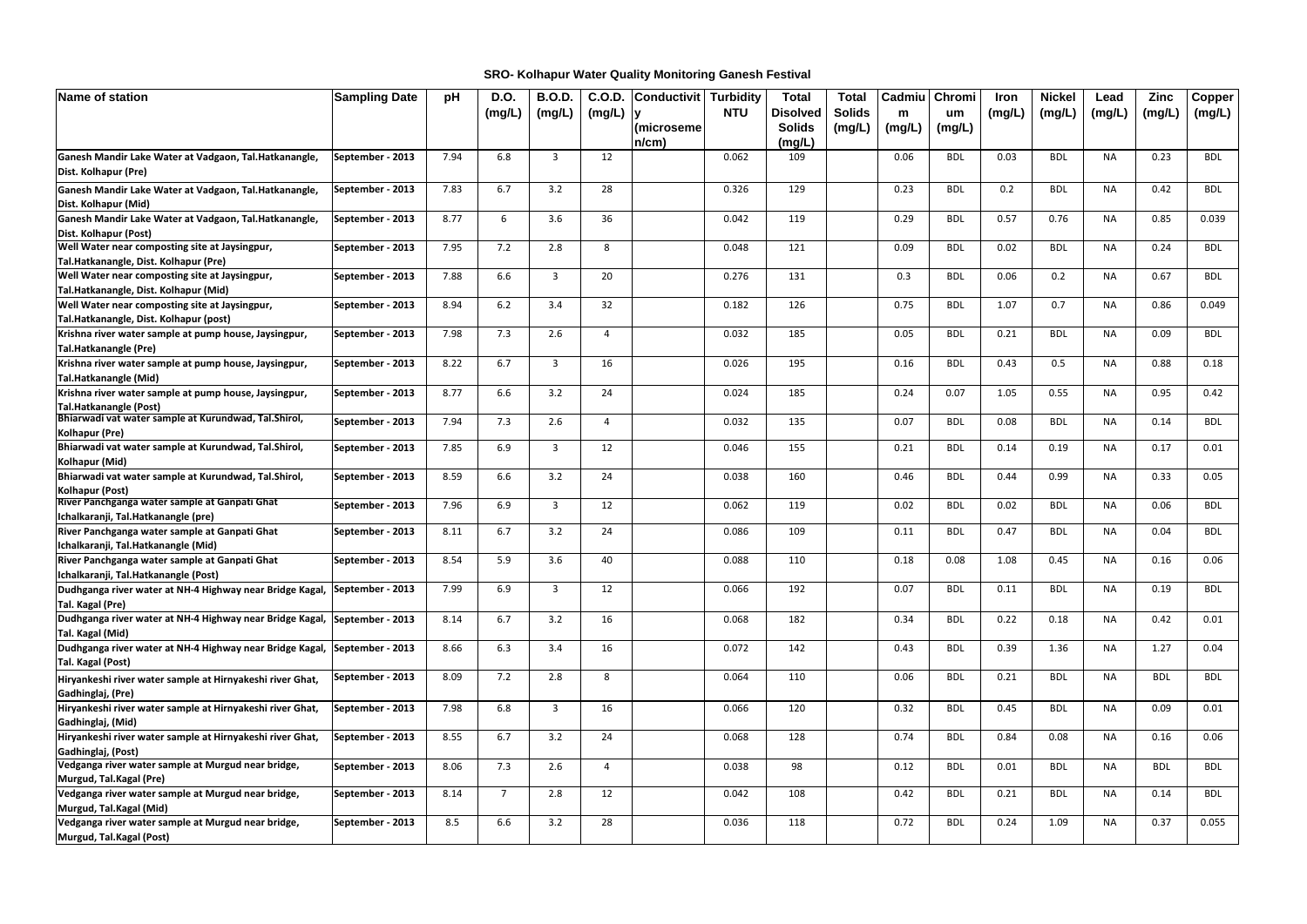| Name of station                                                                      | <b>Sampling Date</b> | pH   | <b>D.O.</b>    | <b>B.O.D.</b>  | C.O.D. | <b>Conductivit</b> | <b>Turbidity</b> | <b>Total</b>    | <b>Total</b>  | Cadmiu | Chromi     | Iron   | <b>Nickel</b> | Lead      | <b>Zinc</b> | Copper     |
|--------------------------------------------------------------------------------------|----------------------|------|----------------|----------------|--------|--------------------|------------------|-----------------|---------------|--------|------------|--------|---------------|-----------|-------------|------------|
|                                                                                      |                      |      | (mg/L)         | (mg/L)         | (mg/L) |                    | <b>NTU</b>       | <b>Disolved</b> | <b>Solids</b> | m      | um         | (mg/L) | (mg/L)        | (mg/L)    | (mg/L)      | (mg/L)     |
|                                                                                      |                      |      |                |                |        | (microseme         |                  | <b>Solids</b>   | (mg/L)        | (mg/L) | (mg/L)     |        |               |           |             |            |
|                                                                                      |                      |      |                |                |        | $n/cm$ )           |                  | (mg/L)          |               |        |            |        |               |           |             |            |
| Ganesh Mandir Lake Water at Vadgaon, Tal.Hatkanangle,                                | September - 2013     | 7.94 | 6.8            | 3              | 12     |                    | 0.062            | 109             |               | 0.06   | <b>BDL</b> | 0.03   | <b>BDL</b>    | <b>NA</b> | 0.23        | <b>BDL</b> |
| Dist. Kolhapur (Pre)                                                                 |                      |      |                |                |        |                    |                  |                 |               |        |            |        |               |           |             |            |
| Ganesh Mandir Lake Water at Vadgaon, Tal.Hatkanangle,                                | September - 2013     | 7.83 | 6.7            | 3.2            | 28     |                    | 0.326            | 129             |               | 0.23   | <b>BDL</b> | 0.2    | <b>BDL</b>    | <b>NA</b> | 0.42        | <b>BDL</b> |
| Dist. Kolhapur (Mid)                                                                 |                      |      |                |                |        |                    |                  |                 |               |        |            |        |               |           |             |            |
| Ganesh Mandir Lake Water at Vadgaon, Tal.Hatkanangle,                                | September - 2013     | 8.77 | 6              | 3.6            | 36     |                    | 0.042            | 119             |               | 0.29   | <b>BDL</b> | 0.57   | 0.76          | NA        | 0.85        | 0.039      |
| Dist. Kolhapur (Post)                                                                |                      |      |                |                |        |                    |                  |                 |               |        |            |        |               |           |             |            |
| Well Water near composting site at Jaysingpur,                                       | September - 2013     | 7.95 | 7.2            | 2.8            | 8      |                    | 0.048            | 121             |               | 0.09   | <b>BDL</b> | 0.02   | <b>BDL</b>    | <b>NA</b> | 0.24        | BDL        |
| Tal.Hatkanangle, Dist. Kolhapur (Pre)                                                |                      |      |                |                |        |                    |                  |                 |               |        |            |        |               |           |             |            |
| <b>Well Water near composting site at Jaysingpur,</b>                                | September - 2013     | 7.88 | 6.6            | $\overline{3}$ | 20     |                    | 0.276            | 131             |               | 0.3    | <b>BDL</b> | 0.06   | 0.2           | <b>NA</b> | 0.67        | <b>BDL</b> |
| Tal.Hatkanangle, Dist. Kolhapur (Mid)                                                |                      |      |                |                |        |                    |                  |                 |               |        |            |        |               |           |             |            |
| Well Water near composting site at Jaysingpur,                                       | September - 2013     | 8.94 | $6.2$          | 3.4            | 32     |                    | 0.182            | 126             |               | 0.75   | <b>BDL</b> | 1.07   | 0.7           | <b>NA</b> | 0.86        | 0.049      |
| Tal.Hatkanangle, Dist. Kolhapur (post)                                               |                      |      |                |                |        |                    |                  |                 |               |        |            |        |               |           |             |            |
| Krishna river water sample at pump house, Jaysingpur,                                | September - 2013     | 7.98 | 7.3            | 2.6            | 4      |                    | 0.032            | 185             |               | 0.05   | <b>BDL</b> | 0.21   | <b>BDL</b>    | <b>NA</b> | 0.09        | <b>BDL</b> |
| Tal.Hatkanangle (Pre)                                                                |                      |      |                |                |        |                    |                  |                 |               |        |            |        |               |           |             |            |
| Krishna river water sample at pump house, Jaysingpur,                                | September - 2013     | 8.22 | 6.7            | 3              | 16     |                    | 0.026            | 195             |               | 0.16   | <b>BDL</b> | 0.43   | 0.5           | NA        | 0.88        | 0.18       |
| Tal.Hatkanangle (Mid)                                                                |                      |      |                |                |        |                    |                  |                 |               |        |            |        |               |           |             |            |
| Krishna river water sample at pump house, Jaysingpur,                                | September - 2013     | 8.77 | 6.6            | 3.2            | 24     |                    | 0.024            | 185             |               | 0.24   | 0.07       | 1.05   | 0.55          | <b>NA</b> | 0.95        | 0.42       |
| Tal.Hatkanangle (Post)<br>Bhiarwadi vat water sample at Kurundwad, Tal.Shirol,       | September - 2013     | 7.94 | 7.3            | 2.6            |        |                    | 0.032            | 135             |               | 0.07   | <b>BDL</b> | 0.08   | <b>BDL</b>    | <b>NA</b> | 0.14        | BDL        |
| Kolhapur (Pre)                                                                       |                      |      |                |                |        |                    |                  |                 |               |        |            |        |               |           |             |            |
| Bhiarwadi vat water sample at Kurundwad, Tal.Shirol,                                 | September - 2013     | 7.85 | 6.9            | $\overline{3}$ | 12     |                    | 0.046            | 155             |               | 0.21   | <b>BDL</b> | 0.14   | 0.19          | <b>NA</b> | 0.17        | 0.01       |
| Kolhapur (Mid)                                                                       |                      |      |                |                |        |                    |                  |                 |               |        |            |        |               |           |             |            |
| Bhiarwadi vat water sample at Kurundwad, Tal.Shirol,                                 | September - 2013     | 8.59 | 6.6            | 3.2            | 24     |                    | 0.038            | 160             |               | 0.46   | <b>BDL</b> | 0.44   | 0.99          | <b>NA</b> | 0.33        | 0.05       |
| Kolhapur (Post)                                                                      |                      |      |                |                |        |                    |                  |                 |               |        |            |        |               |           |             |            |
| River Panchganga water sample at Ganpati Ghat                                        | September - 2013     | 7.96 | 6.9            | 3              | 12     |                    | 0.062            | 119             |               | 0.02   | <b>BDL</b> | 0.02   | <b>BDL</b>    | <b>NA</b> | 0.06        | <b>BDL</b> |
| Ichalkaranji, Tal.Hatkanangle (pre)                                                  |                      |      |                |                |        |                    |                  |                 |               |        |            |        |               |           |             |            |
| River Panchganga water sample at Ganpati Ghat<br>Ichalkaranji, Tal.Hatkanangle (Mid) | September - 2013     | 8.11 | 6.7            | 3.2            | 24     |                    | 0.086            | 109             |               | 0.11   | <b>BDL</b> | 0.47   | <b>BDL</b>    | <b>NA</b> | 0.04        | <b>BDL</b> |
| River Panchganga water sample at Ganpati Ghat                                        | September - 2013     | 8.54 | 5.9            | 3.6            | 40     |                    | 0.088            | 110             |               | 0.18   | 0.08       | 1.08   | 0.45          | <b>NA</b> | 0.16        | 0.06       |
| Ichalkaranji, Tal.Hatkanangle (Post)                                                 |                      |      |                |                |        |                    |                  |                 |               |        |            |        |               |           |             |            |
| Dudhganga river water at NH-4 Highway near Bridge Kagal, September - 2013            |                      | 7.99 | 6.9            | 3              | 12     |                    | 0.066            | 192             |               | 0.07   | <b>BDL</b> | 0.11   | <b>BDL</b>    | <b>NA</b> | 0.19        | BDL        |
| Tal. Kagal (Pre)                                                                     |                      |      |                |                |        |                    |                  |                 |               |        |            |        |               |           |             |            |
| Dudhganga river water at NH-4 Highway near Bridge Kagal, September - 2013            |                      | 8.14 | 6.7            | 3.2            | 16     |                    | 0.068            | 182             |               | 0.34   | <b>BDL</b> | 0.22   | 0.18          | NA        | 0.42        | 0.01       |
| Tal. Kagal (Mid)                                                                     |                      |      |                |                |        |                    |                  |                 |               |        |            |        |               |           |             |            |
| Dudhganga river water at NH-4 Highway near Bridge Kagal, September - 2013            |                      | 8.66 | 6.3            | 3.4            | 16     |                    | 0.072            | 142             |               | 0.43   | <b>BDL</b> | 0.39   | 1.36          | <b>NA</b> | 1.27        | 0.04       |
| Tal. Kagal (Post)                                                                    |                      |      |                |                |        |                    |                  |                 |               |        |            |        |               |           |             |            |
| Hiryankeshi river water sample at Hirnyakeshi river Ghat,                            | September - 2013     | 8.09 | 7.2            | 2.8            | 8      |                    | 0.064            | 110             |               | 0.06   | <b>BDL</b> | 0.21   | <b>BDL</b>    | <b>NA</b> | <b>BDL</b>  | BDL        |
| Gadhinglaj, (Pre)                                                                    |                      |      |                |                |        |                    |                  |                 |               |        |            |        |               |           |             |            |
| Hiryankeshi river water sample at Hirnyakeshi river Ghat,                            | September - 2013     | 7.98 | 6.8            | $\overline{3}$ | 16     |                    | 0.066            | 120             |               | 0.32   | <b>BDL</b> | 0.45   | <b>BDL</b>    | <b>NA</b> | 0.09        | 0.01       |
| Gadhinglaj, (Mid)                                                                    |                      |      |                |                |        |                    |                  |                 |               |        |            |        |               |           |             |            |
| Hiryankeshi river water sample at Hirnyakeshi river Ghat,                            | September - 2013     | 8.55 | 6.7            | 3.2            | 24     |                    | 0.068            | 128             |               | 0.74   | <b>BDL</b> | 0.84   | 0.08          | <b>NA</b> | 0.16        | 0.06       |
| Gadhinglaj, (Post)                                                                   |                      |      |                |                |        |                    |                  |                 |               |        |            |        |               |           |             |            |
| Vedganga river water sample at Murgud near bridge,                                   | September - 2013     | 8.06 | 7.3            | 2.6            | Δ      |                    | 0.038            | 98              |               | 0.12   | <b>BDL</b> | 0.01   | <b>BDL</b>    | <b>NA</b> | <b>BDL</b>  | BDL        |
| Murgud, Tal.Kagal (Pre)                                                              |                      |      | $\overline{7}$ |                |        |                    |                  | 108             |               |        |            |        |               | <b>NA</b> |             |            |
| Vedganga river water sample at Murgud near bridge,<br>Murgud, Tal.Kagal (Mid)        | September - 2013     | 8.14 |                | 2.8            | 12     |                    | 0.042            |                 |               | 0.42   | <b>BDL</b> | 0.21   | <b>BDL</b>    |           | 0.14        | <b>BDL</b> |
| Vedganga river water sample at Murgud near bridge,                                   | September - 2013     | 8.5  | 6.6            | 3.2            | 28     |                    | 0.036            | 118             |               | 0.72   | <b>BDL</b> | 0.24   | 1.09          | <b>NA</b> | 0.37        | 0.055      |
| Murgud, Tal.Kagal (Post)                                                             |                      |      |                |                |        |                    |                  |                 |               |        |            |        |               |           |             |            |

**SRO- Kolhapur Water Quality Monitoring Ganesh Festival**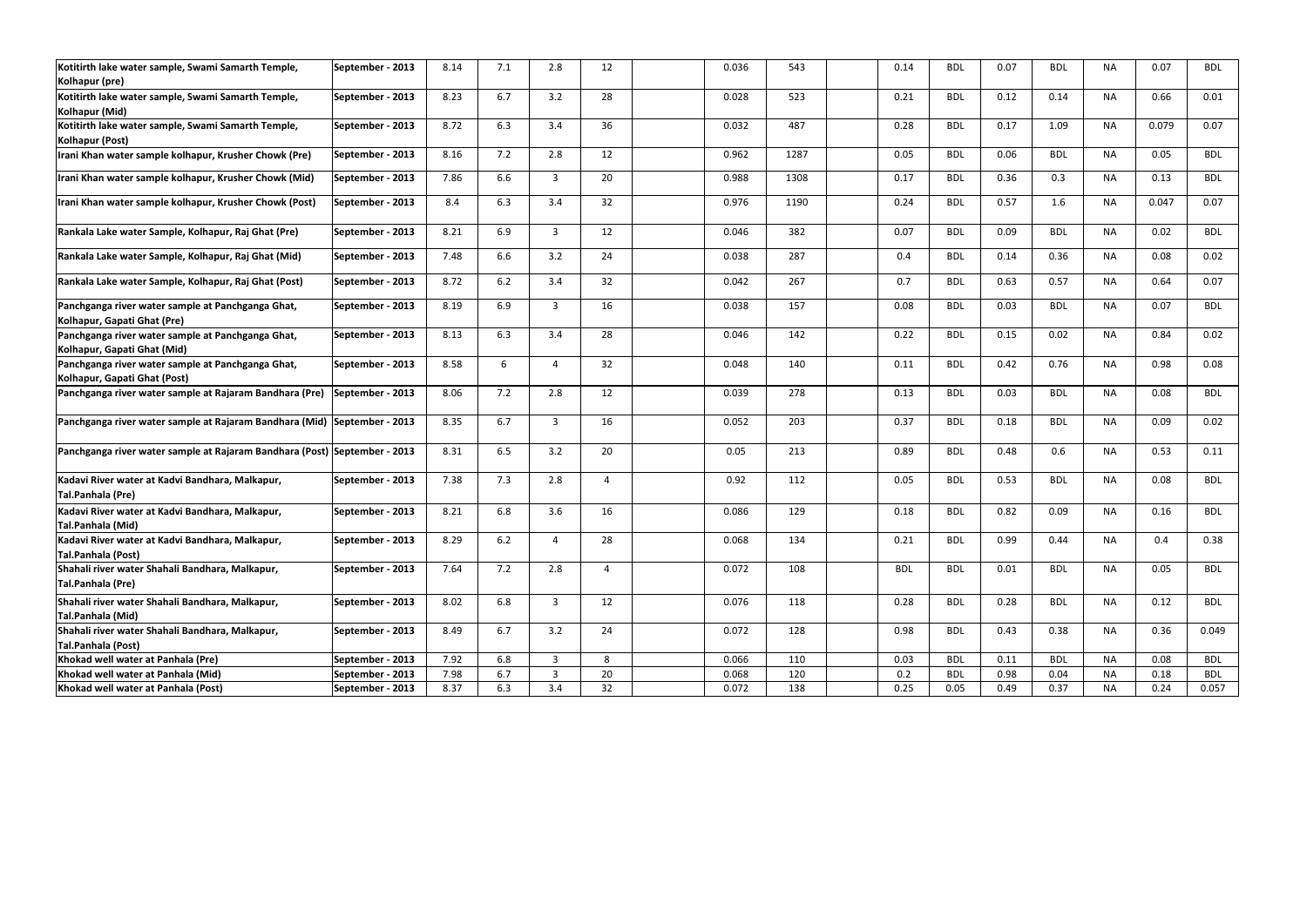| Kotitirth lake water sample, Swami Samarth Temple,<br>Kolhapur (pre)              | September - 2013 | 8.14 | 7.1   | 2.8 | 12 <sup>2</sup> | 0.036 | 543  | 0.14       | <b>BDL</b> | 0.07 | <b>BDL</b> | <b>NA</b> | 0.07  | <b>BDL</b> |
|-----------------------------------------------------------------------------------|------------------|------|-------|-----|-----------------|-------|------|------------|------------|------|------------|-----------|-------|------------|
| Kotitirth lake water sample, Swami Samarth Temple,<br>Kolhapur (Mid)              | September - 2013 | 8.23 | 6.7   | 3.2 | 28              | 0.028 | 523  | 0.21       | <b>BDL</b> | 0.12 | 0.14       | NA        | 0.66  | 0.01       |
| Kotitirth lake water sample, Swami Samarth Temple,<br>Kolhapur (Post)             | September - 2013 | 8.72 | 6.3   | 3.4 | 36              | 0.032 | 487  | 0.28       | <b>BDL</b> | 0.17 | 1.09       | <b>NA</b> | 0.079 | 0.07       |
| Irani Khan water sample kolhapur, Krusher Chowk (Pre)                             | September - 2013 | 8.16 | 7.2   | 2.8 | 12              | 0.962 | 1287 | 0.05       | <b>BDL</b> | 0.06 | <b>BDL</b> | <b>NA</b> | 0.05  | <b>BDL</b> |
| Irani Khan water sample kolhapur, Krusher Chowk (Mid)                             | September - 2013 | 7.86 | 6.6   | 3   | 20              | 0.988 | 1308 | 0.17       | <b>BDL</b> | 0.36 | 0.3        | NA        | 0.13  | <b>BDL</b> |
| Irani Khan water sample kolhapur, Krusher Chowk (Post)                            | September - 2013 | 8.4  | 6.3   | 3.4 | 32              | 0.976 | 1190 | 0.24       | <b>BDL</b> | 0.57 | 1.6        | <b>NA</b> | 0.047 | 0.07       |
| Rankala Lake water Sample, Kolhapur, Raj Ghat (Pre)                               | September - 2013 | 8.21 | 6.9   | 3   | 12              | 0.046 | 382  | 0.07       | <b>BDL</b> | 0.09 | <b>BDL</b> | <b>NA</b> | 0.02  | <b>BDL</b> |
| Rankala Lake water Sample, Kolhapur, Raj Ghat (Mid)                               | September - 2013 | 7.48 | 6.6   | 3.2 | 24              | 0.038 | 287  | 0.4        | BDL        | 0.14 | 0.36       | NA        | 0.08  | 0.02       |
| Rankala Lake water Sample, Kolhapur, Raj Ghat (Post)                              | September - 2013 | 8.72 | 6.2   | 3.4 | 32              | 0.042 | 267  | 0.7        | <b>BDL</b> | 0.63 | 0.57       | <b>NA</b> | 0.64  | 0.07       |
| Panchganga river water sample at Panchganga Ghat,<br>Kolhapur, Gapati Ghat (Pre)  | September - 2013 | 8.19 | 6.9   | 3   | 16              | 0.038 | 157  | 0.08       | <b>BDL</b> | 0.03 | <b>BDL</b> | <b>NA</b> | 0.07  | <b>BDL</b> |
| Panchganga river water sample at Panchganga Ghat,<br>Kolhapur, Gapati Ghat (Mid)  | September - 2013 | 8.13 | 6.3   | 3.4 | 28              | 0.046 | 142  | 0.22       | <b>BDL</b> | 0.15 | 0.02       | <b>NA</b> | 0.84  | 0.02       |
| Panchganga river water sample at Panchganga Ghat,<br>Kolhapur, Gapati Ghat (Post) | September - 2013 | 8.58 | 6     | 4   | 32              | 0.048 | 140  | 0.11       | <b>BDL</b> | 0.42 | 0.76       | <b>NA</b> | 0.98  | 0.08       |
| Panchganga river water sample at Rajaram Bandhara (Pre) September - 2013          |                  | 8.06 | 7.2   | 2.8 | 12              | 0.039 | 278  | 0.13       | <b>BDL</b> | 0.03 | <b>BDL</b> | <b>NA</b> | 0.08  | <b>BDL</b> |
| Panchganga river water sample at Rajaram Bandhara (Mid) September - 2013          |                  | 8.35 | 6.7   | 3   | 16              | 0.052 | 203  | 0.37       | <b>BDL</b> | 0.18 | <b>BDL</b> | <b>NA</b> | 0.09  | 0.02       |
| Panchganga river water sample at Rajaram Bandhara (Post) September - 2013         |                  | 8.31 | 6.5   | 3.2 | 20              | 0.05  | 213  | 0.89       | <b>BDL</b> | 0.48 | 0.6        | <b>NA</b> | 0.53  | 0.11       |
| Kadavi River water at Kadvi Bandhara, Malkapur,<br>Tal.Panhala (Pre)              | September - 2013 | 7.38 | 7.3   | 2.8 | 4               | 0.92  | 112  | 0.05       | <b>BDL</b> | 0.53 | <b>BDL</b> | <b>NA</b> | 0.08  | <b>BDL</b> |
| Kadavi River water at Kadvi Bandhara, Malkapur,<br><b>Tal.Panhala (Mid)</b>       | September - 2013 | 8.21 | 6.8   | 3.6 | 16              | 0.086 | 129  | 0.18       | BDL        | 0.82 | 0.09       | <b>NA</b> | 0.16  | <b>BDL</b> |
| Kadavi River water at Kadvi Bandhara, Malkapur,<br>Tal.Panhala (Post)             | September - 2013 | 8.29 | $6.2$ | 4   | 28              | 0.068 | 134  | 0.21       | <b>BDL</b> | 0.99 | 0.44       | NA        | 0.4   | 0.38       |
| Shahali river water Shahali Bandhara, Malkapur,<br>Tal.Panhala (Pre)              | September - 2013 | 7.64 | 7.2   | 2.8 | $\Delta$        | 0.072 | 108  | <b>BDL</b> | <b>BDL</b> | 0.01 | <b>BDL</b> | <b>NA</b> | 0.05  | <b>BDL</b> |
| Shahali river water Shahali Bandhara, Malkapur,<br>Tal.Panhala (Mid)              | September - 2013 | 8.02 | 6.8   | 3   | 12              | 0.076 | 118  | 0.28       | <b>BDL</b> | 0.28 | <b>BDL</b> | <b>NA</b> | 0.12  | <b>BDL</b> |
| Shahali river water Shahali Bandhara, Malkapur,<br>Tal.Panhala (Post)             | September - 2013 | 8.49 | 6.7   | 3.2 | 24              | 0.072 | 128  | 0.98       | <b>BDL</b> | 0.43 | 0.38       | <b>NA</b> | 0.36  | 0.049      |
| Khokad well water at Panhala (Pre)                                                | September - 2013 | 7.92 | 6.8   | 3   | 8               | 0.066 | 110  | 0.03       | <b>BDL</b> | 0.11 | <b>BDL</b> | <b>NA</b> | 0.08  | <b>BDL</b> |
| Khokad well water at Panhala (Mid)                                                | September - 2013 | 7.98 | 6.7   | 3   | 20              | 0.068 | 120  | 0.2        | <b>BDL</b> | 0.98 | 0.04       | <b>NA</b> | 0.18  | <b>BDL</b> |
| Khokad well water at Panhala (Post)                                               | September - 2013 | 8.37 | 6.3   | 3.4 | 32              | 0.072 | 138  | 0.25       | 0.05       | 0.49 | 0.37       | ΝA        | 0.24  | 0.057      |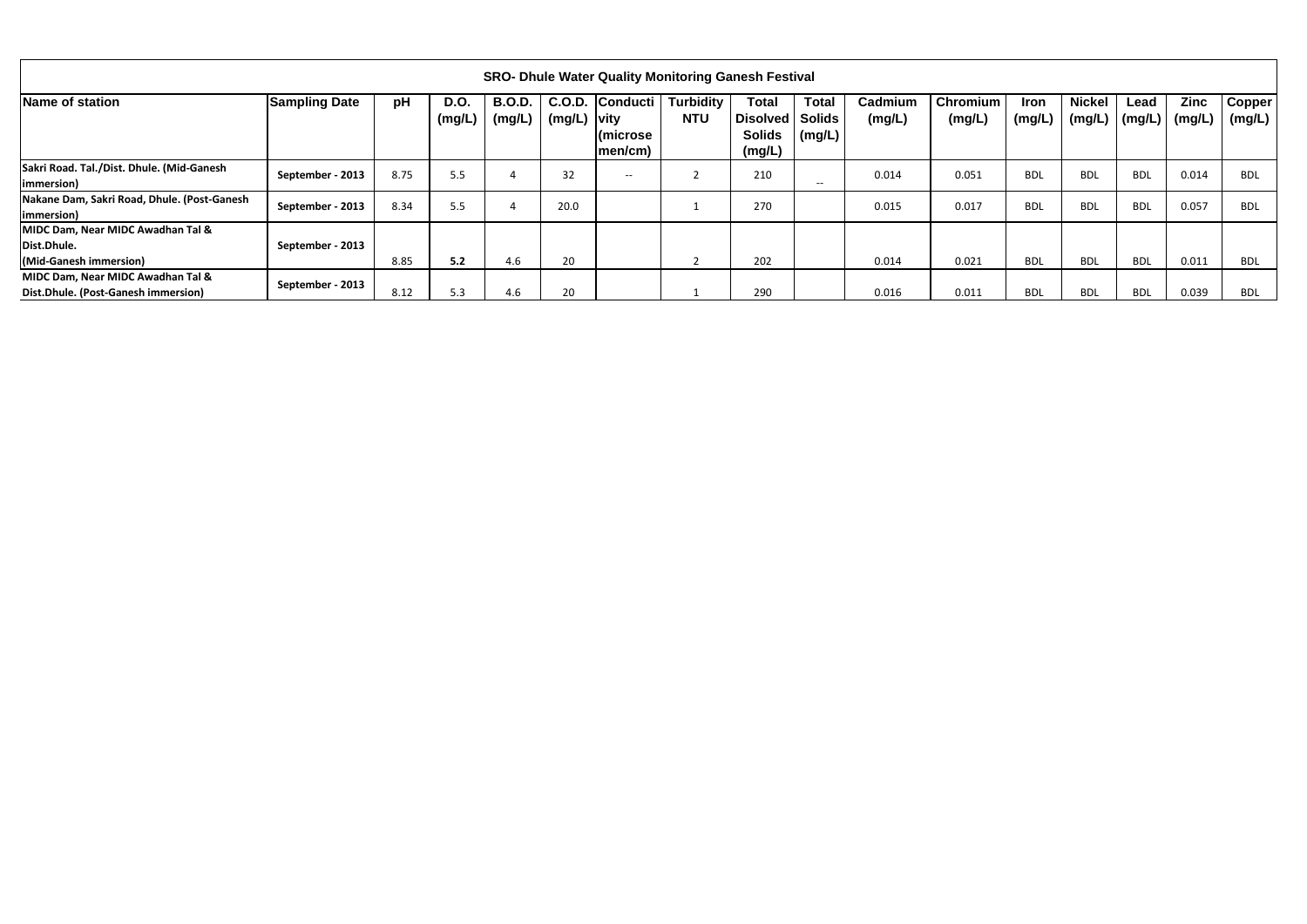|                                                                            |                      |      |                       |                         |                         |                                                     | <b>SRO- Dhule Water Quality Monitoring Ganesh Festival</b> |                                                            |                               |                   |                           |                       |                         |                |                       |                         |
|----------------------------------------------------------------------------|----------------------|------|-----------------------|-------------------------|-------------------------|-----------------------------------------------------|------------------------------------------------------------|------------------------------------------------------------|-------------------------------|-------------------|---------------------------|-----------------------|-------------------------|----------------|-----------------------|-------------------------|
| Name of station                                                            | <b>Sampling Date</b> | pH   | <b>D.O.</b><br>(mg/L) | <b>B.O.D.</b><br>(mg/L) | C.O.D.<br>$(mg/L)$ vity | <b>Conducti</b><br>$ $ (microse<br>$ men/cm\rangle$ | <b>Turbidity</b><br><b>NTU</b>                             | <b>Total</b><br>Disolved Solids<br><b>Solids</b><br>(mg/L) | <b>Total</b><br>$\mid$ (mg/L) | Cadmium<br>(mg/L) | <b>Chromium</b><br>(mg/L) | <b>Iron</b><br>(mg/L) | <b>Nickel</b><br>(mg/L) | Lead<br>(mg/L) | <b>Zinc</b><br>(mg/L) | <b>Copper</b><br>(mg/L) |
| Sakri Road. Tal./Dist. Dhule. (Mid-Ganesh<br>immersion)                    | September - 2013     | 8.75 | 5.5                   |                         | 32                      | $\hspace{0.1mm}-\hspace{0.1mm}-\hspace{0.1mm}$      | $\overline{\phantom{0}}$                                   | 210                                                        | $- -$                         | 0.014             | 0.051                     | <b>BDL</b>            | <b>BDL</b>              | <b>BDL</b>     | 0.014                 | <b>BDL</b>              |
| Nakane Dam, Sakri Road, Dhule. (Post-Ganesh<br>(immersion)                 | September - 2013     | 8.34 | 5.5                   |                         | 20.0                    |                                                     |                                                            | 270                                                        |                               | 0.015             | 0.017                     | <b>BDL</b>            | <b>BDL</b>              | <b>BDL</b>     | 0.057                 | <b>BDL</b>              |
| MIDC Dam, Near MIDC Awadhan Tal &<br>Dist.Dhule.<br>(Mid-Ganesh immersion) | September - 2013     | 8.85 | 5.2                   | 4.6                     | 20                      |                                                     |                                                            | 202                                                        |                               | 0.014             | 0.021                     | <b>BDL</b>            | <b>BDL</b>              | <b>BDL</b>     | 0.011                 | <b>BDL</b>              |
| MIDC Dam, Near MIDC Awadhan Tal &<br>Dist.Dhule. (Post-Ganesh immersion)   | September - 2013     | 8.12 | 5.3                   | 4.6                     | 20                      |                                                     |                                                            | 290                                                        |                               | 0.016             | 0.011                     | <b>BDL</b>            | <b>BDL</b>              | <b>BDL</b>     | 0.039                 | <b>BDL</b>              |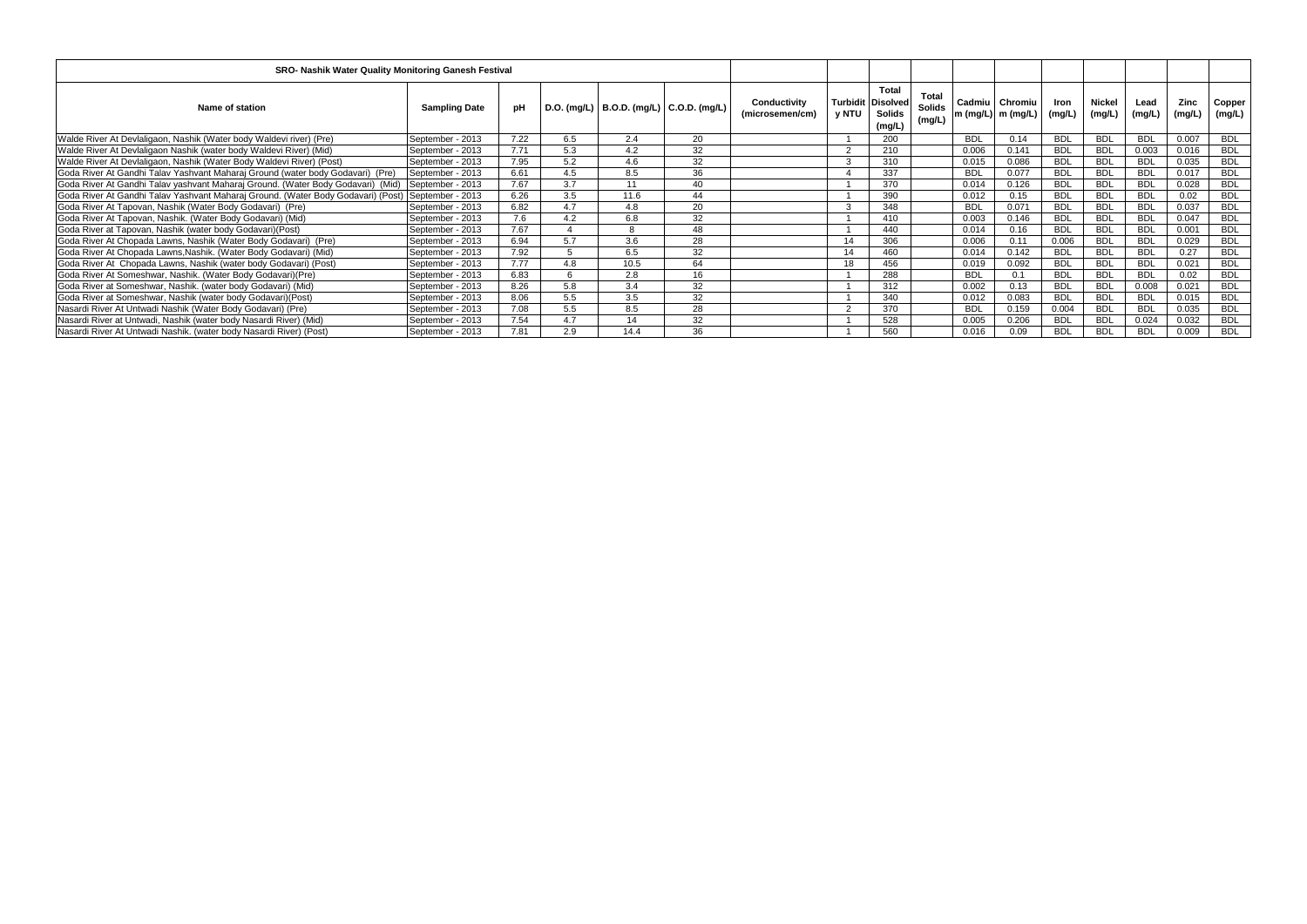| SRO- Nashik Water Quality Monitoring Ganesh Festival                             |                      |      |     |      |                                             |                                 |       |                                                                     |                                  |            |                                         |                |                         |                |                |                  |
|----------------------------------------------------------------------------------|----------------------|------|-----|------|---------------------------------------------|---------------------------------|-------|---------------------------------------------------------------------|----------------------------------|------------|-----------------------------------------|----------------|-------------------------|----------------|----------------|------------------|
| Name of station                                                                  | <b>Sampling Date</b> | рH   |     |      | D.O. (mg/L)   B.O.D. (mg/L)   C.O.D. (mg/L) | Conductivity<br>(microsemen/cm) | y NTU | <b>Total</b><br><b>Turbidit Disolved</b><br><b>Solids</b><br>(mg/L) | Total<br><b>Solids</b><br>(mg/L) |            | Cadmiu   Chromiu<br> m (mg/L)  m (mg/L) | Iron<br>(mg/L) | <b>Nickel</b><br>(mg/L) | Lead<br>(mg/L) | Zinc<br>(mg/L) | Copper<br>(mg/L) |
| Walde River At Devlaligaon, Nashik (Water body Waldevi river) (Pre)              | September - 2013     | 7.22 | 6.5 | 2.4  | 20                                          |                                 |       | 200                                                                 |                                  | <b>BDL</b> | 0.14                                    | <b>BDL</b>     | <b>BDL</b>              | <b>BDL</b>     | 0.007          | <b>BDL</b>       |
| Walde River At Devlaligaon Nashik (water body Waldevi River) (Mid)               | September - 2013     | 7.71 | 5.3 | 4.2  | 32                                          |                                 |       | 210                                                                 |                                  | 0.006      | 0.141                                   | <b>BDL</b>     | <b>BDL</b>              | 0.003          | 0.016          | <b>BDL</b>       |
| Walde River At Devlaligaon, Nashik (Water Body Waldevi River) (Post)             | September - 2013     | 7.95 | 5.2 | 4.6  | 32                                          |                                 |       | 310                                                                 |                                  | 0.015      | 0.086                                   | <b>BDL</b>     | <b>BDL</b>              | <b>BDL</b>     | 0.035          | <b>BDL</b>       |
| Goda River At Gandhi Talav Yashvant Maharaj Ground (water body Godavari) (Pre)   | September - 2013     | 6.61 | 4.5 | 8.5  | 36                                          |                                 |       | 337                                                                 |                                  | <b>BDL</b> | 0.077                                   | <b>BDL</b>     | <b>BDL</b>              | <b>BDL</b>     | 0.017          | <b>BDL</b>       |
| Goda River At Gandhi Talav yashvant Maharaj Ground. (Water Body Godavari) (Mid)  | September - 2013     | 7.67 | 3.7 | 11   | 40                                          |                                 |       | 370                                                                 |                                  | 0.014      | 0.126                                   | <b>BDL</b>     | <b>BDL</b>              | <b>BDL</b>     | 0.028          | <b>BDL</b>       |
| Goda River At Gandhi Talav Yashvant Maharaj Ground. (Water Body Godavari) (Post) | September - 2013     | 6.26 | 3.5 | 11.6 | 44                                          |                                 |       | 390                                                                 |                                  | 0.012      | 0.15                                    | <b>BDL</b>     | <b>BDL</b>              | <b>BDL</b>     | 0.02           | <b>BDL</b>       |
| Goda River At Tapovan, Nashik (Water Body Godavari) (Pre)                        | September - 2013     | 6.82 | 4.7 | 4.8  | 20                                          |                                 |       | 348                                                                 |                                  | <b>BDL</b> | 0.071                                   | <b>BDL</b>     | <b>BDL</b>              | <b>BDL</b>     | 0.037          | <b>BDL</b>       |
| Goda River At Tapovan, Nashik. (Water Body Godavari) (Mid)                       | September - 2013     | 7.6  | 4.2 | 6.8  | 32                                          |                                 |       | 410                                                                 |                                  | 0.003      | 0.146                                   | <b>BDL</b>     | <b>BDL</b>              | <b>BDL</b>     | 0.047          | <b>BDL</b>       |
| Goda River at Tapovan, Nashik (water body Godavari) (Post)                       | September - 2013     | 7.67 |     |      | 48                                          |                                 |       | 440                                                                 |                                  | 0.014      | 0.16                                    | <b>BDL</b>     | <b>BDL</b>              | <b>BDL</b>     | 0.001          | <b>BDL</b>       |
| Goda River At Chopada Lawns, Nashik (Water Body Godavari) (Pre)                  | September - 2013     | 6.94 | 5.7 | 3.6  | 28                                          |                                 |       | 306                                                                 |                                  | 0.006      | 0.11                                    | 0.006          | <b>BDL</b>              | <b>BDL</b>     | 0.029          | <b>BDL</b>       |
| Goda River At Chopada Lawns, Nashik. (Water Body Godavari) (Mid)                 | September - 2013     | 7.92 |     | 6.5  | 32                                          |                                 | 14    | 460                                                                 |                                  | 0.014      | 0.142                                   | <b>BDL</b>     | <b>BDL</b>              | <b>BDL</b>     | 0.27           | <b>BDL</b>       |
| Goda River At Chopada Lawns, Nashik (water body Godavari) (Post)                 | September - 2013     | 7.77 | 4.8 | 10.5 | 64                                          |                                 | 18    | 456                                                                 |                                  | 0.019      | 0.092                                   | <b>BDL</b>     | <b>BDL</b>              | <b>BDL</b>     | 0.021          | <b>BDL</b>       |
| Goda River At Someshwar, Nashik. (Water Body Godavari) (Pre)                     | September - 2013     | 6.83 | 6   | 2.8  | 16                                          |                                 |       | 288                                                                 |                                  | <b>BDL</b> | 0.1                                     | <b>BDL</b>     | <b>BDL</b>              | <b>BDL</b>     | 0.02           | <b>BDL</b>       |
| Goda River at Someshwar, Nashik. (water body Godavari) (Mid)                     | September - 2013     | 8.26 | 5.8 | 3.4  | 32                                          |                                 |       | 312                                                                 |                                  | 0.002      | 0.13                                    | <b>BDL</b>     | <b>BDL</b>              | 0.008          | 0.021          | <b>BDL</b>       |
| Goda River at Someshwar, Nashik (water body Godavari) (Post)                     | September - 2013     | 8.06 | 5.5 | 3.5  | 32                                          |                                 |       | 340                                                                 |                                  | 0.012      | 0.083                                   | <b>BDL</b>     | <b>BDL</b>              | <b>BDL</b>     | 0.015          | <b>BDL</b>       |
| Nasardi River At Untwadi Nashik (Water Body Godavari) (Pre)                      | September - 2013     | 7.08 | 5.5 | 8.5  | 28                                          |                                 |       | 370                                                                 |                                  | <b>BDL</b> | 0.159                                   | 0.004          | <b>BDL</b>              | <b>BDL</b>     | 0.035          | <b>BDL</b>       |
| Nasardi River at Untwadi, Nashik (water body Nasardi River) (Mid)                | September - 2013     | 7.54 | 4.7 | 14   | 32                                          |                                 |       | 528                                                                 |                                  | 0.005      | 0.206                                   | <b>BDL</b>     | <b>BDL</b>              | 0.024          | 0.032          | <b>BDL</b>       |
| Nasardi River At Untwadi Nashik. (water body Nasardi River) (Post)               | September - 2013     | 7.81 | 2.9 | 14.4 | 36                                          |                                 |       | 560                                                                 |                                  | 0.016      | 0.09                                    | <b>BDL</b>     | <b>BDL</b>              | <b>BDL</b>     | 0.009          | <b>BDL</b>       |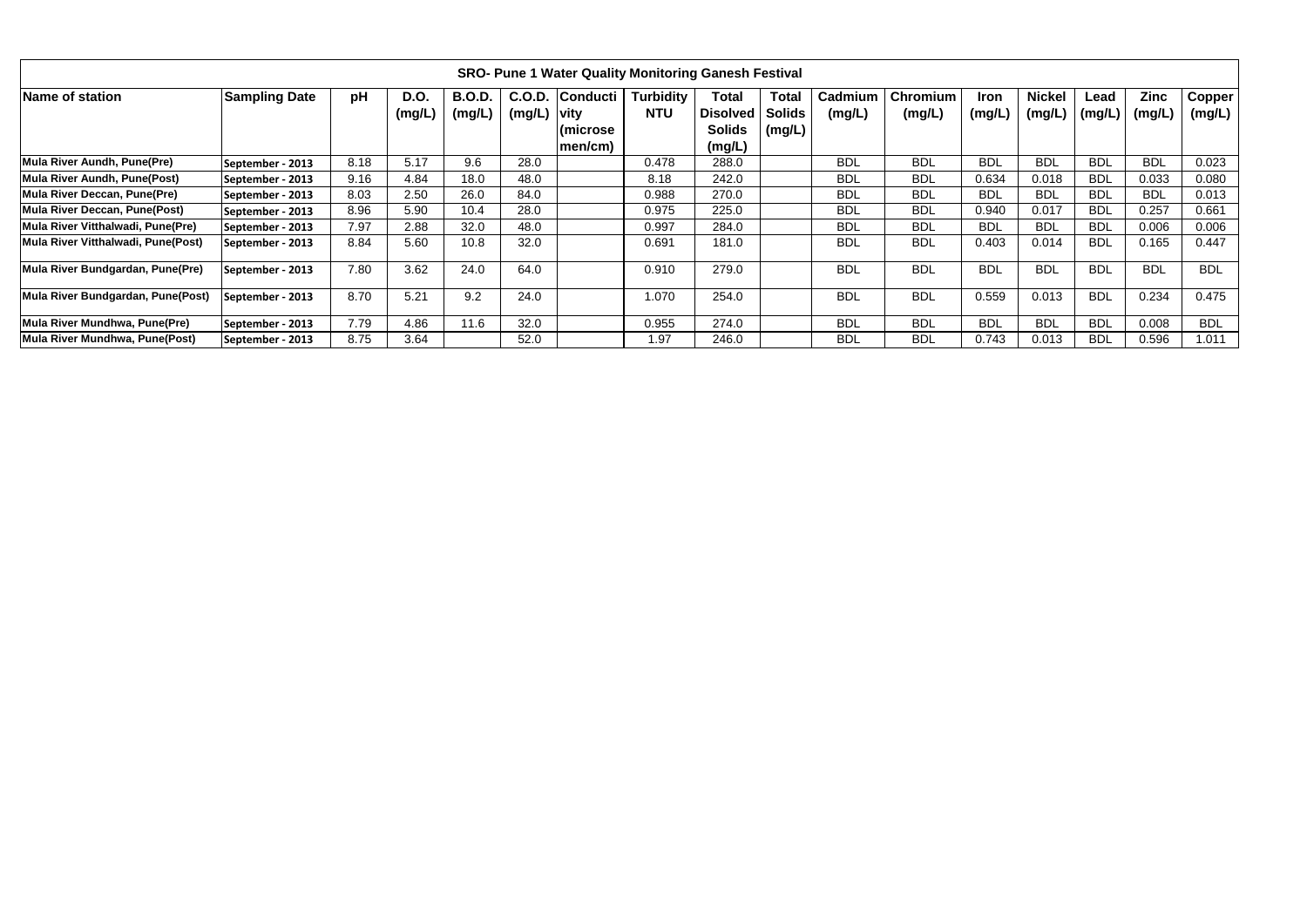|                                    |                      |      |                |                         |                        | <b>SRO- Pune 1 Water Quality Monitoring Ganesh Festival</b> |                                |                                                     |                                         |                   |                    |                       |                         |                |                       |                               |
|------------------------------------|----------------------|------|----------------|-------------------------|------------------------|-------------------------------------------------------------|--------------------------------|-----------------------------------------------------|-----------------------------------------|-------------------|--------------------|-----------------------|-------------------------|----------------|-----------------------|-------------------------------|
| Name of station                    | <b>Sampling Date</b> | pH   | D.O.<br>(mg/L) | <b>B.O.D.</b><br>(mg/L) | C.O.D.<br>(mg/L)  vity | <b>Conducti</b><br>l(microse_<br> men/cm)                   | <b>Turbidity</b><br><b>NTU</b> | Total<br><b>Disolved</b><br><b>Solids</b><br>(mg/L) | <b>Total</b><br><b>Solids</b><br>(mg/L) | Cadmium<br>(mg/L) | Chromium<br>(mg/L) | <b>Iron</b><br>(mg/L) | <b>Nickel</b><br>(mg/L) | Lead<br>(mg/L) | <b>Zinc</b><br>(mg/L) | Copper <sup>'</sup><br>(mg/L) |
| Mula River Aundh, Pune(Pre)        | September - 2013     | 8.18 | 5.17           | 9.6                     | 28.0                   |                                                             | 0.478                          | 288.0                                               |                                         | <b>BDL</b>        | <b>BDL</b>         | <b>BDL</b>            | <b>BDL</b>              | <b>BDL</b>     | <b>BDL</b>            | 0.023                         |
| Mula River Aundh, Pune(Post)       | September - 2013     | 9.16 | 4.84           | 18.0                    | 48.0                   |                                                             | 8.18                           | 242.0                                               |                                         | <b>BDL</b>        | <b>BDL</b>         | 0.634                 | 0.018                   | <b>BDL</b>     | 0.033                 | 0.080                         |
| Mula River Deccan, Pune(Pre)       | September - 2013     | 8.03 | 2.50           | 26.0                    | 84.0                   |                                                             | 0.988                          | 270.0                                               |                                         | <b>BDL</b>        | <b>BDL</b>         | <b>BDL</b>            | <b>BDL</b>              | <b>BDL</b>     | <b>BDL</b>            | 0.013                         |
| Mula River Deccan, Pune(Post)      | September - 2013     | 8.96 | 5.90           | 10.4                    | 28.0                   |                                                             | 0.975                          | 225.0                                               |                                         | <b>BDL</b>        | <b>BDL</b>         | 0.940                 | 0.017                   | <b>BDL</b>     | 0.257                 | 0.661                         |
| Mula River Vitthalwadi, Pune(Pre)  | September - 2013     | 7.97 | 2.88           | 32.0                    | 48.0                   |                                                             | 0.997                          | 284.0                                               |                                         | <b>BDL</b>        | <b>BDL</b>         | <b>BDL</b>            | <b>BDL</b>              | <b>BDL</b>     | 0.006                 | 0.006                         |
| Mula River Vitthalwadi, Pune(Post) | September - 2013     | 8.84 | 5.60           | 10.8                    | 32.0                   |                                                             | 0.691                          | 181.0                                               |                                         | <b>BDL</b>        | <b>BDL</b>         | 0.403                 | 0.014                   | <b>BDL</b>     | 0.165                 | 0.447                         |
| Mula River Bundgardan, Pune(Pre)   | September - 2013     | 7.80 | 3.62           | 24.0                    | 64.0                   |                                                             | 0.910                          | 279.0                                               |                                         | <b>BDL</b>        | <b>BDL</b>         | <b>BDL</b>            | <b>BDL</b>              | <b>BDL</b>     | <b>BDL</b>            | <b>BDL</b>                    |
| Mula River Bundgardan, Pune(Post)  | September - 2013     | 8.70 | 5.21           | 9.2                     | 24.0                   |                                                             | 1.070                          | 254.0                                               |                                         | <b>BDL</b>        | <b>BDL</b>         | 0.559                 | 0.013                   | <b>BDL</b>     | 0.234                 | 0.475                         |
| Mula River Mundhwa, Pune(Pre)      | September - 2013     | 7.79 | 4.86           | 11.6                    | 32.0                   |                                                             | 0.955                          | 274.0                                               |                                         | <b>BDL</b>        | <b>BDL</b>         | <b>BDL</b>            | <b>BDL</b>              | <b>BDL</b>     | 0.008                 | <b>BDL</b>                    |
| Mula River Mundhwa, Pune(Post)     | September - 2013     | 8.75 | 3.64           |                         | 52.0                   |                                                             | 1.97                           | 246.0                                               |                                         | <b>BDL</b>        | <b>BDL</b>         | 0.743                 | 0.013                   | <b>BDL</b>     | 0.596                 | 1.011                         |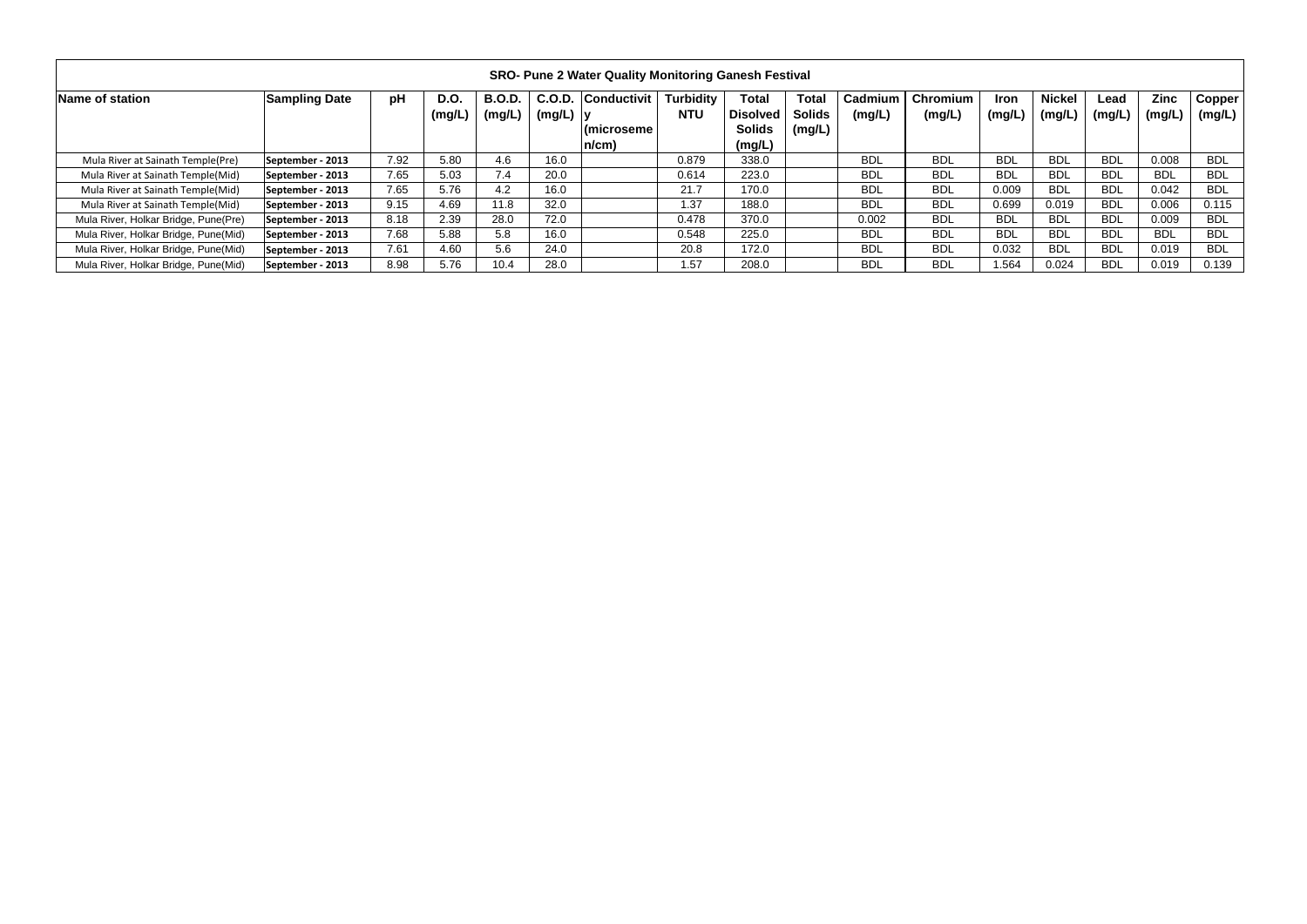|                                      |                      |      |                       |                         |                       | <b>SRO- Pune 2 Water Quality Monitoring Ganesh Festival</b> |                                |                                                            |                                         |                   |                    |                       |                         |                |                       |                         |
|--------------------------------------|----------------------|------|-----------------------|-------------------------|-----------------------|-------------------------------------------------------------|--------------------------------|------------------------------------------------------------|-----------------------------------------|-------------------|--------------------|-----------------------|-------------------------|----------------|-----------------------|-------------------------|
| Name of station                      | <b>Sampling Date</b> | рH   | <b>D.O.</b><br>(mg/L) | <b>B.O.D.</b><br>(mg/L) | C.O.D.<br>$(mg/L)$  y | <b>Conductivit</b><br>(microseme)<br>n/cm)                  | <b>Turbidity</b><br><b>NTU</b> | <b>Total</b><br><b>Disolved</b><br><b>Solids</b><br>(mg/L) | <b>Total</b><br><b>Solids</b><br>(mg/L) | Cadmium<br>(mg/L) | Chromium<br>(mg/L) | <b>Iron</b><br>(mg/L) | <b>Nickel</b><br>(mg/L) | Lead<br>(mg/L) | <b>Zinc</b><br>(mg/L) | <b>Copper</b><br>(mg/L) |
| Mula River at Sainath Temple(Pre)    | September - 2013     | 7.92 | 5.80                  | 4.6                     | 16.0                  |                                                             | 0.879                          | 338.0                                                      |                                         | <b>BDL</b>        | <b>BDL</b>         | <b>BDL</b>            | <b>BDL</b>              | <b>BDL</b>     | 0.008                 | <b>BDL</b>              |
| Mula River at Sainath Temple(Mid)    | September - 2013     | 7.65 | 5.03                  | 7.4                     | 20.0                  |                                                             | 0.614                          | 223.0                                                      |                                         | <b>BDL</b>        | <b>BDL</b>         | <b>BDL</b>            | <b>BDL</b>              | <b>BDL</b>     | <b>BDL</b>            | <b>BDL</b>              |
| Mula River at Sainath Temple(Mid)    | September - 2013     | 7.65 | 5.76                  | 4.2                     | 16.0                  |                                                             | 21.7                           | 170.0                                                      |                                         | <b>BDL</b>        | <b>BDL</b>         | 0.009                 | <b>BDL</b>              | <b>BDL</b>     | 0.042                 | <b>BDL</b>              |
| Mula River at Sainath Temple(Mid)    | September - 2013     | 9.15 | 4.69                  | 11.8                    | 32.0                  |                                                             | 1.37                           | 188.0                                                      |                                         | <b>BDL</b>        | <b>BDL</b>         | 0.699                 | 0.019                   | <b>BDL</b>     | 0.006                 | 0.115                   |
| Mula River, Holkar Bridge, Pune(Pre) | September - 2013     | 8.18 | 2.39                  | 28.0                    | 72.0                  |                                                             | 0.478                          | 370.0                                                      |                                         | 0.002             | <b>BDL</b>         | <b>BDL</b>            | <b>BDL</b>              | <b>BDL</b>     | 0.009                 | <b>BDL</b>              |
| Mula River, Holkar Bridge, Pune(Mid) | September - 2013     | 7.68 | 5.88                  | 5.8                     | 16.0                  |                                                             | 0.548                          | 225.0                                                      |                                         | <b>BDL</b>        | <b>BDL</b>         | <b>BDL</b>            | <b>BDL</b>              | <b>BDL</b>     | <b>BDL</b>            | <b>BDL</b>              |
| Mula River, Holkar Bridge, Pune(Mid) | September - 2013     | 7.61 | 4.60                  | 5.6                     | 24.0                  |                                                             | 20.8                           | 172.0                                                      |                                         | <b>BDL</b>        | <b>BDL</b>         | 0.032                 | <b>BDL</b>              | <b>BDL</b>     | 0.019                 | <b>BDL</b>              |
| Mula River, Holkar Bridge, Pune(Mid) | September - 2013     | 8.98 | 5.76                  | 10.4                    | 28.0                  |                                                             | 1.57                           | 208.0                                                      |                                         | <b>BDL</b>        | <b>BDL</b>         | 1.564                 | 0.024                   | <b>BDL</b>     | 0.019                 | 0.139                   |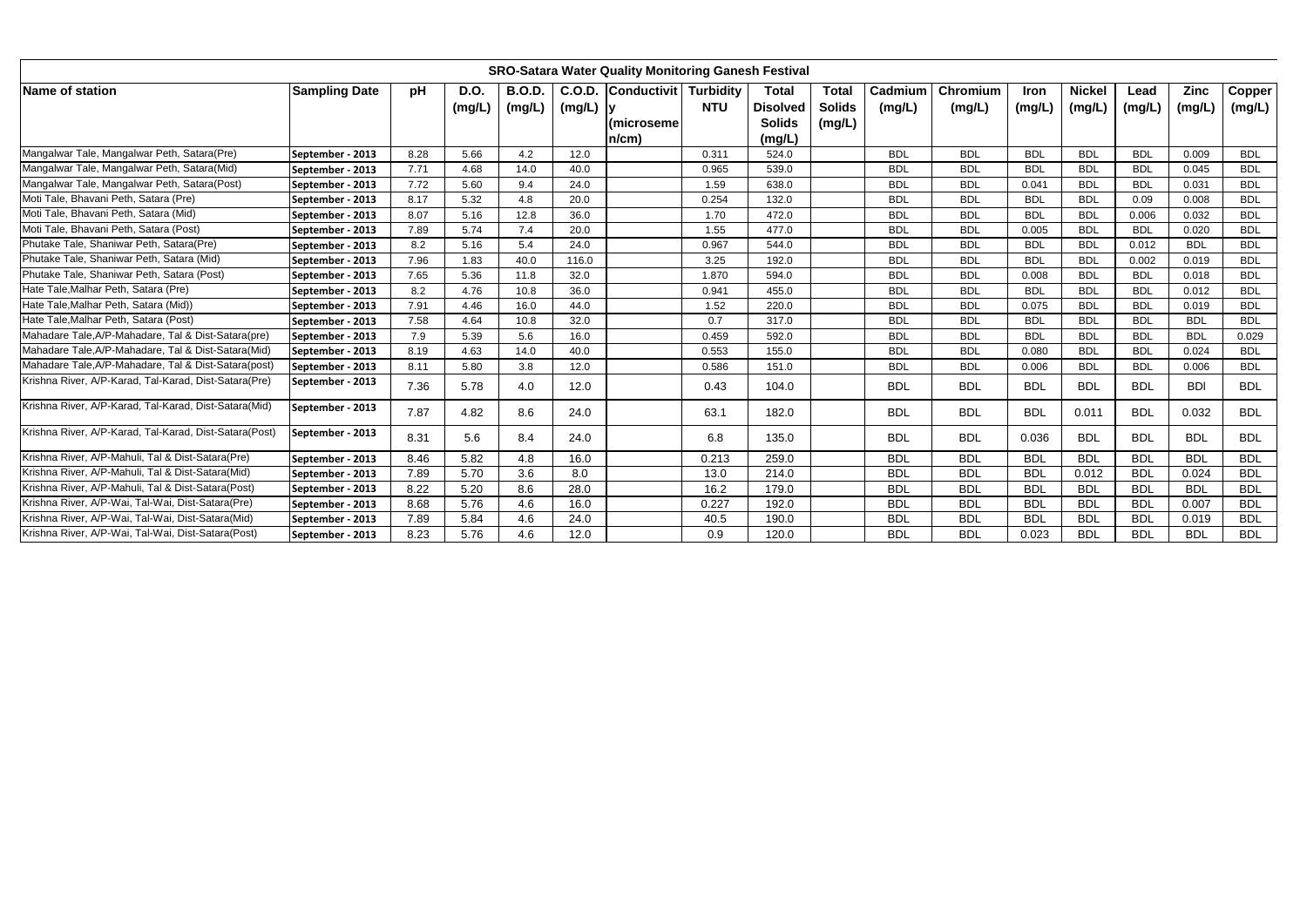|                                                        |                      |      |                       |                         |             | <b>SRO-Satara Water Quality Monitoring Ganesh Festival</b> |            |                                                            |                                         |                   |                    |                |                         |                |                       |                  |
|--------------------------------------------------------|----------------------|------|-----------------------|-------------------------|-------------|------------------------------------------------------------|------------|------------------------------------------------------------|-----------------------------------------|-------------------|--------------------|----------------|-------------------------|----------------|-----------------------|------------------|
| Name of station                                        | <b>Sampling Date</b> | pH   | <b>D.O.</b><br>(mg/L) | <b>B.O.D.</b><br>(mg/L) | $(mg/L)$  y | C.O.D. Conductivit Turbidity<br>(microseme)<br>$n/cm$ )    | <b>NTU</b> | <b>Total</b><br><b>Disolved</b><br><b>Solids</b><br>(mg/L) | <b>Total</b><br><b>Solids</b><br>(mg/L) | Cadmium<br>(mg/L) | Chromium<br>(mg/L) | Iron<br>(mg/L) | <b>Nickel</b><br>(mg/L) | Lead<br>(mg/L) | <b>Zinc</b><br>(mg/L) | Copper<br>(mg/L) |
| Mangalwar Tale, Mangalwar Peth, Satara(Pre)            | September - 2013     | 8.28 | 5.66                  | 4.2                     | 12.0        |                                                            | 0.311      | 524.0                                                      |                                         | <b>BDL</b>        | <b>BDL</b>         | <b>BDL</b>     | <b>BDL</b>              | <b>BDL</b>     | 0.009                 | <b>BDL</b>       |
| Mangalwar Tale, Mangalwar Peth, Satara(Mid)            | September - 2013     | 7.71 | 4.68                  | 14.0                    | 40.0        |                                                            | 0.965      | 539.0                                                      |                                         | <b>BDL</b>        | <b>BDL</b>         | <b>BDL</b>     | <b>BDL</b>              | <b>BDL</b>     | 0.045                 | <b>BDL</b>       |
| Mangalwar Tale, Mangalwar Peth, Satara(Post)           | September - 2013     | 7.72 | 5.60                  | 9.4                     | 24.0        |                                                            | 1.59       | 638.0                                                      |                                         | <b>BDL</b>        | <b>BDL</b>         | 0.041          | <b>BDL</b>              | <b>BDL</b>     | 0.031                 | <b>BDL</b>       |
| Moti Tale, Bhavani Peth, Satara (Pre)                  | September - 2013     | 8.17 | 5.32                  | 4.8                     | 20.0        |                                                            | 0.254      | 132.0                                                      |                                         | <b>BDL</b>        | <b>BDL</b>         | <b>BDL</b>     | <b>BDL</b>              | 0.09           | 0.008                 | <b>BDL</b>       |
| Moti Tale, Bhavani Peth, Satara (Mid)                  | September - 2013     | 8.07 | 5.16                  | 12.8                    | 36.0        |                                                            | 1.70       | 472.0                                                      |                                         | <b>BDL</b>        | <b>BDL</b>         | <b>BDL</b>     | <b>BDL</b>              | 0.006          | 0.032                 | <b>BDL</b>       |
| Moti Tale, Bhavani Peth, Satara (Post)                 | September - 2013     | 7.89 | 5.74                  | 7.4                     | 20.0        |                                                            | 1.55       | 477.0                                                      |                                         | <b>BDL</b>        | <b>BDL</b>         | 0.005          | <b>BDL</b>              | <b>BDL</b>     | 0.020                 | <b>BDL</b>       |
| Phutake Tale, Shaniwar Peth, Satara(Pre)               | September - 2013     | 8.2  | 5.16                  | 5.4                     | 24.0        |                                                            | 0.967      | 544.0                                                      |                                         | <b>BDL</b>        | <b>BDL</b>         | <b>BDL</b>     | <b>BDL</b>              | 0.012          | <b>BDL</b>            | <b>BDL</b>       |
| Phutake Tale, Shaniwar Peth, Satara (Mid)              | September - 2013     | 7.96 | 1.83                  | 40.0                    | 116.0       |                                                            | 3.25       | 192.0                                                      |                                         | <b>BDL</b>        | <b>BDL</b>         | <b>BDL</b>     | <b>BDL</b>              | 0.002          | 0.019                 | <b>BDL</b>       |
| Phutake Tale, Shaniwar Peth, Satara (Post)             | September - 2013     | 7.65 | 5.36                  | 11.8                    | 32.0        |                                                            | 1.870      | 594.0                                                      |                                         | <b>BDL</b>        | <b>BDL</b>         | 0.008          | <b>BDL</b>              | <b>BDL</b>     | 0.018                 | <b>BDL</b>       |
| Hate Tale, Malhar Peth, Satara (Pre)                   | September - 2013     | 8.2  | 4.76                  | 10.8                    | 36.0        |                                                            | 0.941      | 455.0                                                      |                                         | <b>BDL</b>        | <b>BDL</b>         | <b>BDL</b>     | <b>BDL</b>              | <b>BDL</b>     | 0.012                 | <b>BDL</b>       |
| Hate Tale, Malhar Peth, Satara (Mid))                  | September - 2013     | 7.91 | 4.46                  | 16.0                    | 44.0        |                                                            | 1.52       | 220.0                                                      |                                         | <b>BDL</b>        | <b>BDL</b>         | 0.075          | <b>BDL</b>              | <b>BDL</b>     | 0.019                 | <b>BDL</b>       |
| Hate Tale, Malhar Peth, Satara (Post)                  | September - 2013     | 7.58 | 4.64                  | 10.8                    | 32.0        |                                                            | 0.7        | 317.0                                                      |                                         | <b>BDL</b>        | <b>BDL</b>         | <b>BDL</b>     | <b>BDL</b>              | <b>BDL</b>     | <b>BDL</b>            | <b>BDL</b>       |
| Mahadare Tale, A/P-Mahadare, Tal & Dist-Satara(pre)    | September - 2013     | 7.9  | 5.39                  | 5.6                     | 16.0        |                                                            | 0.459      | 592.0                                                      |                                         | <b>BDL</b>        | <b>BDL</b>         | <b>BDL</b>     | <b>BDL</b>              | <b>BDL</b>     | <b>BDL</b>            | 0.029            |
| Mahadare Tale, A/P-Mahadare, Tal & Dist-Satara(Mid)    | September - 2013     | 8.19 | 4.63                  | 14.0                    | 40.0        |                                                            | 0.553      | 155.0                                                      |                                         | <b>BDL</b>        | <b>BDL</b>         | 0.080          | <b>BDL</b>              | <b>BDL</b>     | 0.024                 | <b>BDL</b>       |
| Mahadare Tale, A/P-Mahadare, Tal & Dist-Satara (post)  | September - 2013     | 8.11 | 5.80                  | 3.8                     | 12.0        |                                                            | 0.586      | 151.0                                                      |                                         | <b>BDL</b>        | <b>BDL</b>         | 0.006          | <b>BDL</b>              | <b>BDL</b>     | 0.006                 | <b>BDL</b>       |
| Krishna River, A/P-Karad, Tal-Karad, Dist-Satara(Pre)  | September - 2013     | 7.36 | 5.78                  | 4.0                     | 12.0        |                                                            | 0.43       | 104.0                                                      |                                         | <b>BDL</b>        | <b>BDL</b>         | <b>BDL</b>     | <b>BDL</b>              | <b>BDL</b>     | <b>BDI</b>            | <b>BDL</b>       |
| Krishna River, A/P-Karad, Tal-Karad, Dist-Satara(Mid)  | September - 2013     | 7.87 | 4.82                  | 8.6                     | 24.0        |                                                            | 63.1       | 182.0                                                      |                                         | <b>BDL</b>        | <b>BDL</b>         | <b>BDL</b>     | 0.011                   | <b>BDL</b>     | 0.032                 | <b>BDL</b>       |
| Krishna River, A/P-Karad, Tal-Karad, Dist-Satara(Post) | September - 2013     | 8.31 | 5.6                   | 8.4                     | 24.0        |                                                            | 6.8        | 135.0                                                      |                                         | <b>BDL</b>        | <b>BDL</b>         | 0.036          | <b>BDL</b>              | <b>BDL</b>     | <b>BDL</b>            | <b>BDL</b>       |
| Krishna River, A/P-Mahuli, Tal & Dist-Satara(Pre)      | September - 2013     | 8.46 | 5.82                  | 4.8                     | 16.0        |                                                            | 0.213      | 259.0                                                      |                                         | <b>BDL</b>        | <b>BDL</b>         | <b>BDL</b>     | <b>BDL</b>              | <b>BDL</b>     | <b>BDL</b>            | <b>BDL</b>       |
| Krishna River, A/P-Mahuli, Tal & Dist-Satara(Mid)      | September - 2013     | 7.89 | 5.70                  | 3.6                     | 8.0         |                                                            | 13.0       | 214.0                                                      |                                         | <b>BDL</b>        | <b>BDL</b>         | <b>BDL</b>     | 0.012                   | <b>BDL</b>     | 0.024                 | <b>BDL</b>       |
| Krishna River, A/P-Mahuli, Tal & Dist-Satara(Post)     | September - 2013     | 8.22 | 5.20                  | 8.6                     | 28.0        |                                                            | 16.2       | 179.0                                                      |                                         | <b>BDL</b>        | <b>BDL</b>         | <b>BDL</b>     | <b>BDL</b>              | <b>BDL</b>     | <b>BDL</b>            | <b>BDL</b>       |
| Krishna River, A/P-Wai, Tal-Wai, Dist-Satara(Pre)      | September - 2013     | 8.68 | 5.76                  | 4.6                     | 16.0        |                                                            | 0.227      | 192.0                                                      |                                         | <b>BDL</b>        | <b>BDL</b>         | <b>BDL</b>     | <b>BDL</b>              | <b>BDL</b>     | 0.007                 | <b>BDL</b>       |
| Krishna River, A/P-Wai, Tal-Wai, Dist-Satara(Mid)      | September - 2013     | 7.89 | 5.84                  | 4.6                     | 24.0        |                                                            | 40.5       | 190.0                                                      |                                         | <b>BDL</b>        | <b>BDL</b>         | <b>BDL</b>     | <b>BDL</b>              | <b>BDL</b>     | 0.019                 | <b>BDL</b>       |
| Krishna River, A/P-Wai, Tal-Wai, Dist-Satara(Post)     | September - 2013     | 8.23 | 5.76                  | 4.6                     | 12.0        |                                                            | 0.9        | 120.0                                                      |                                         | <b>BDL</b>        | <b>BDL</b>         | 0.023          | <b>BDL</b>              | <b>BDL</b>     | <b>BDL</b>            | <b>BDL</b>       |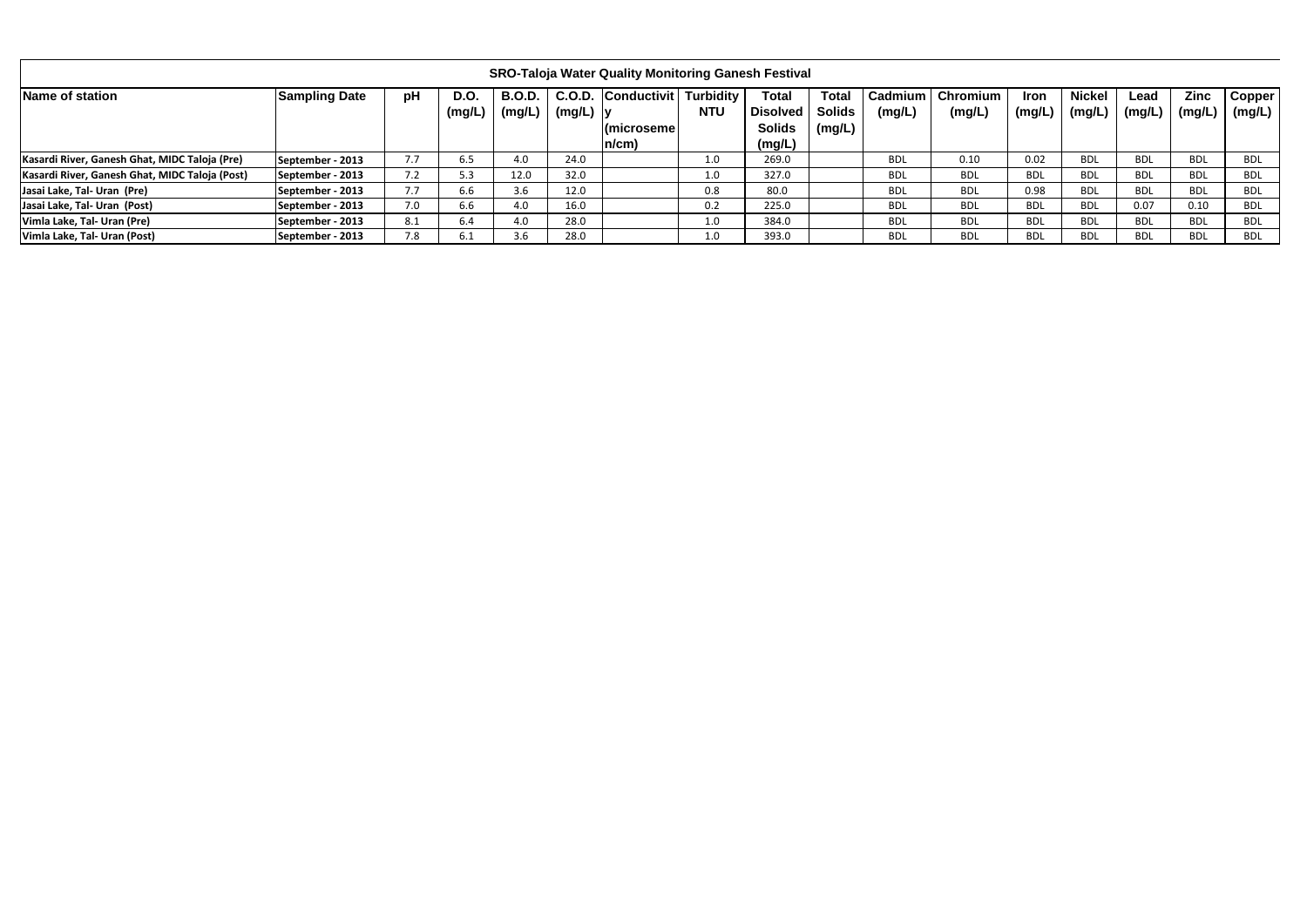|                                                |                      |     |                       |                         |             | <b>SRO-Taloja Water Quality Monitoring Ganesh Festival</b>    |            |                                                            |                                  |                     |                    |                       |                         |                |                       |                  |
|------------------------------------------------|----------------------|-----|-----------------------|-------------------------|-------------|---------------------------------------------------------------|------------|------------------------------------------------------------|----------------------------------|---------------------|--------------------|-----------------------|-------------------------|----------------|-----------------------|------------------|
| Name of station                                | <b>Sampling Date</b> | pH  | <b>D.O.</b><br>(mg/L) | <b>B.O.D.</b><br>(mg/L) | $(mg/L)$  y | C.O.D. Conductivit Turbidity<br><b>Imicroseme</b><br>$n/cm$ ) | <b>NTU</b> | <b>Total</b><br><b>Disolved</b><br><b>Solids</b><br>(mg/L) | <b>Total</b><br>Solids<br>(mg/L) | Cadmium I<br>(mg/L) | Chromium<br>(mg/L) | <b>Iron</b><br>(mg/L) | <b>Nickel</b><br>(mg/L) | Lead<br>(mg/L, | <b>Zinc</b><br>(mg/L) | Copper<br>(mg/L) |
| Kasardi River, Ganesh Ghat, MIDC Taloja (Pre)  | September - 2013     | 7.7 | 6.5                   | 4.0                     | 24.0        |                                                               | 1.0        | 269.0                                                      |                                  | <b>BDL</b>          | 0.10               | 0.02                  | <b>BDL</b>              | <b>BDL</b>     | <b>BDL</b>            | <b>BDL</b>       |
| Kasardi River, Ganesh Ghat, MIDC Taloja (Post) | September - 2013     | 7.2 | 5.3                   | 12.0                    | 32.0        |                                                               | 1.0        | 327.0                                                      |                                  | <b>BDL</b>          | <b>BDL</b>         | <b>BDL</b>            | <b>BDL</b>              | <b>BDL</b>     | <b>BDL</b>            | <b>BDL</b>       |
| Jasai Lake, Tal- Uran (Pre)                    | September - 2013     | 7.7 | 6.6                   | 3.6                     | 12.0        |                                                               | 0.8        | 80.0                                                       |                                  | <b>BDL</b>          | <b>BDL</b>         | 0.98                  | <b>BDL</b>              | <b>BDL</b>     | <b>BDL</b>            | <b>BDL</b>       |
| Jasai Lake, Tal- Uran (Post)                   | September - 2013     | 7.0 | 6.6                   | 4.0                     | 16.0        |                                                               | 0.2        | 225.0                                                      |                                  | <b>BDL</b>          | <b>BDL</b>         | BDL                   | <b>BDL</b>              | 0.07           | 0.10                  | <b>BDL</b>       |
| Vimla Lake, Tal- Uran (Pre)                    | September - 2013     | 8.1 | 6.4                   | 4.0                     | 28.0        |                                                               | 1.0        | 384.0                                                      |                                  | <b>BDL</b>          | <b>BDL</b>         | <b>BDL</b>            | <b>BDL</b>              | <b>BDL</b>     | <b>BDL</b>            | <b>BDL</b>       |
| Vimla Lake, Tal- Uran (Post)                   | September - 2013     | 7.8 |                       | 3.6                     | 28.0        |                                                               | 1.0        | 393.0                                                      |                                  | <b>BDL</b>          | <b>BDL</b>         | <b>BDL</b>            | <b>BDL</b>              | <b>BDL</b>     | <b>BDL</b>            | <b>BDL</b>       |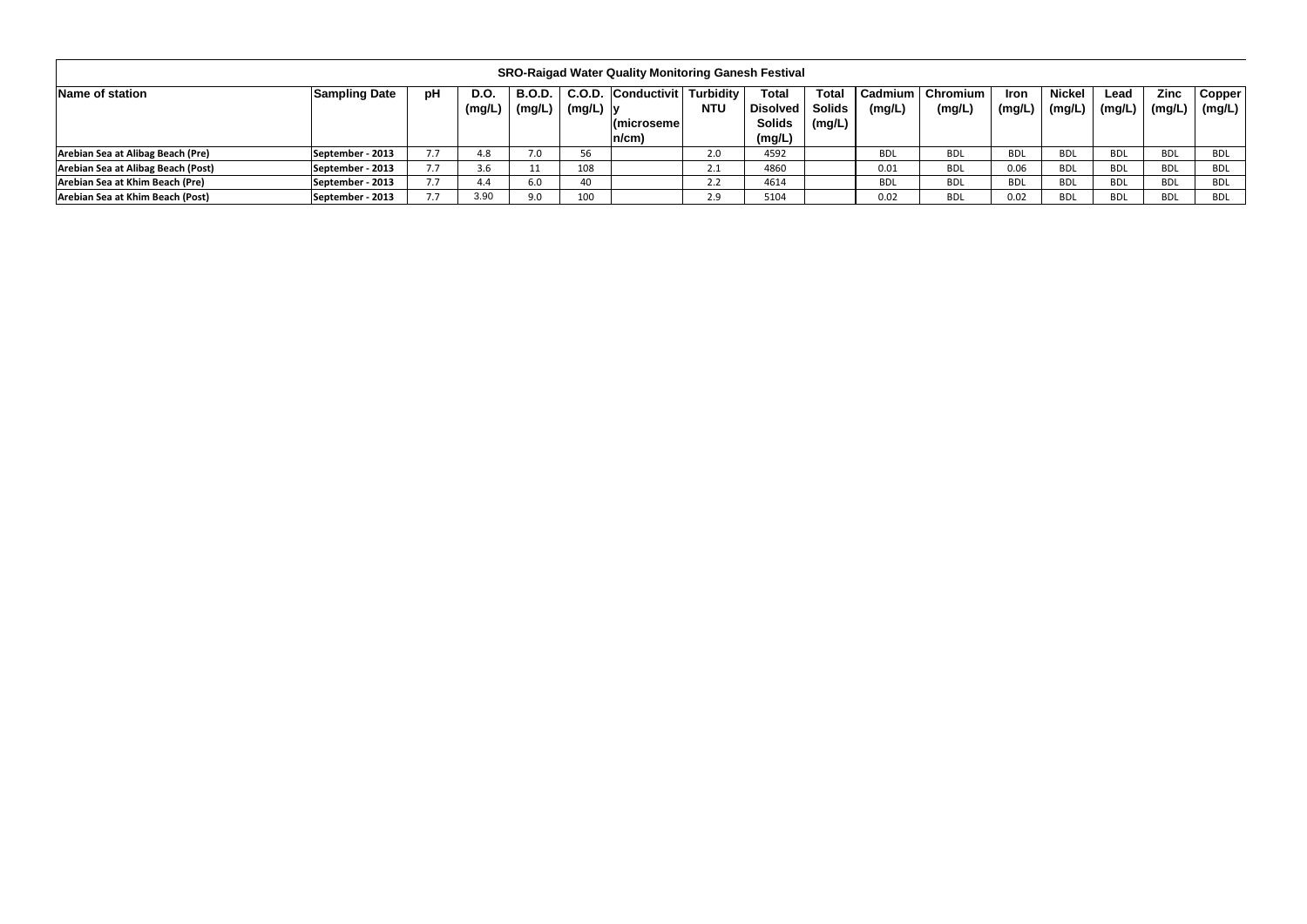|                                    |                      |                          |               |                                    |             | <b>SRO-Raigad Water Quality Monitoring Ganesh Festival</b> |                         |                          |                        |                          |                      |                       |                        |                |                |                         |
|------------------------------------|----------------------|--------------------------|---------------|------------------------------------|-------------|------------------------------------------------------------|-------------------------|--------------------------|------------------------|--------------------------|----------------------|-----------------------|------------------------|----------------|----------------|-------------------------|
| Name of station                    | <b>Sampling Date</b> | рH                       | D.O<br>(mg/L) | <b>B.O.D.</b><br>$\mathsf{(mg/L)}$ | $(mg/L)$  y | C.O.D. Conductivit   Turbidity                             | <b>NTU</b>              | <b>Total</b><br>Disolved | <b>Total</b><br>Solids | <b>Cadmium</b><br>(mg/L) | Chromium  <br>(mg/L) | <b>Iron</b><br>(mg/L) | <b>Nickel</b><br>mg/L, | Lead<br>(mg/L) | Zinc<br>(mg/L) | <b>Copper</b><br>(mg/L) |
|                                    |                      |                          |               |                                    |             | (microsemel<br>$n/cm$ )                                    |                         | <b>Solids</b><br>'mg/L)  | (mg/L)                 |                          |                      |                       |                        |                |                |                         |
| Arebian Sea at Alibag Beach (Pre)  | September - 2013     | 7.7                      | 4.8           | 7.0                                | 56          |                                                            | 2.0                     | 4592                     |                        | <b>BDL</b>               | <b>BDL</b>           | <b>BDL</b>            | <b>BDL</b>             | <b>BDL</b>     | BDL            | BDL                     |
| Arebian Sea at Alibag Beach (Post) | September - 2013     | $\overline{\phantom{a}}$ | 3.6           |                                    | 108         |                                                            | $\mathsf{L}.\mathsf{L}$ | 4860                     |                        | 0.01                     | <b>BDL</b>           | 0.06                  | <b>BDL</b>             | <b>BDL</b>     | BDL            | BDL                     |
| Arebian Sea at Khim Beach (Pre)    | September - 2013     | 7.7                      | 4.4           | 6.0                                | 40          |                                                            | 2.2                     | 4614                     |                        | <b>BDL</b>               | <b>BDL</b>           | <b>BDL</b>            | <b>BDL</b>             | <b>BDL</b>     | <b>BDL</b>     | BDL                     |
| Arebian Sea at Khim Beach (Post)   | September - 2013     |                          | 3.90          | 9.0                                | 100         |                                                            | 2.9                     | 5104                     |                        | 0.02                     | <b>BDL</b>           | 0.02                  | <b>BDL</b>             | <b>BDL</b>     | <b>BDL</b>     | BDL                     |